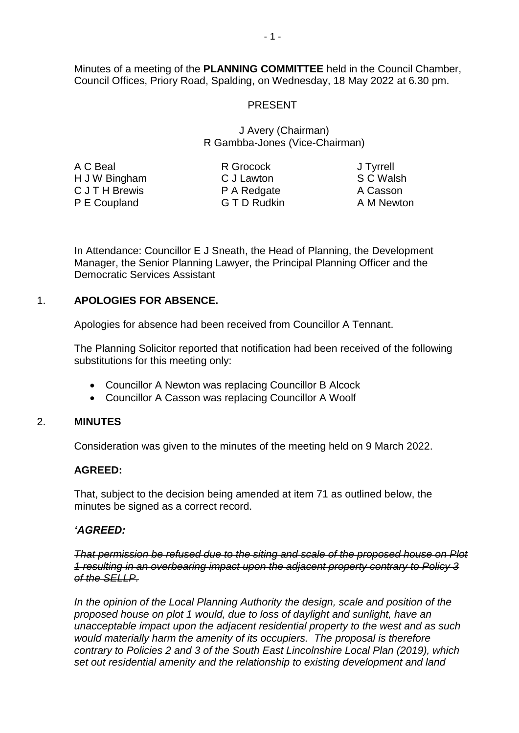Minutes of a meeting of the **PLANNING COMMITTEE** held in the Council Chamber, Council Offices, Priory Road, Spalding, on Wednesday, 18 May 2022 at 6.30 pm.

# PRESENT

## J Avery (Chairman) R Gambba-Jones (Vice-Chairman)

| A C Beal       |  |
|----------------|--|
| H J W Bingham  |  |
| C J T H Brewis |  |
| P E Coupland   |  |

R Grocock C J Lawton P A Redgate G T D Rudkin

J Tyrrell S C Walsh A Casson A M Newton

In Attendance: Councillor E J Sneath, the Head of Planning, the Development Manager, the Senior Planning Lawyer, the Principal Planning Officer and the Democratic Services Assistant

# 1. **APOLOGIES FOR ABSENCE.**

Apologies for absence had been received from Councillor A Tennant.

The Planning Solicitor reported that notification had been received of the following substitutions for this meeting only:

- Councillor A Newton was replacing Councillor B Alcock
- Councillor A Casson was replacing Councillor A Woolf

## 2. **MINUTES**

Consideration was given to the minutes of the meeting held on 9 March 2022.

## **AGREED:**

That, subject to the decision being amended at item 71 as outlined below, the minutes be signed as a correct record.

## *'AGREED:*

*That permission be refused due to the siting and scale of the proposed house on Plot 1 resulting in an overbearing impact upon the adjacent property contrary to Policy 3 of the SELLP.*

*In the opinion of the Local Planning Authority the design, scale and position of the proposed house on plot 1 would, due to loss of daylight and sunlight, have an unacceptable impact upon the adjacent residential property to the west and as such would materially harm the amenity of its occupiers. The proposal is therefore contrary to Policies 2 and 3 of the South East Lincolnshire Local Plan (2019), which set out residential amenity and the relationship to existing development and land*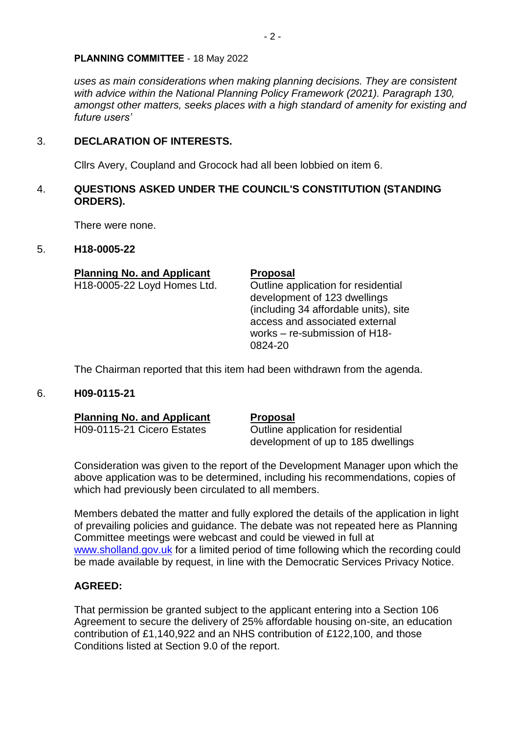*uses as main considerations when making planning decisions. They are consistent with advice within the National Planning Policy Framework (2021). Paragraph 130, amongst other matters, seeks places with a high standard of amenity for existing and future users'*

# 3. **DECLARATION OF INTERESTS.**

Cllrs Avery, Coupland and Grocock had all been lobbied on item 6.

# 4. **QUESTIONS ASKED UNDER THE COUNCIL'S CONSTITUTION (STANDING ORDERS).**

There were none.

## 5. **H18-0005-22**

# **Planning No. and Applicant Proposal**

H18-0005-22 Loyd Homes Ltd. Outline application for residential development of 123 dwellings (including 34 affordable units), site access and associated external works – re-submission of H18- 0824-20

The Chairman reported that this item had been withdrawn from the agenda.

## 6. **H09-0115-21**

**Planning No. and Applicant Proposal** 

H09-0115-21 Cicero Estates **Outline application for residential** development of up to 185 dwellings

Consideration was given to the report of the Development Manager upon which the above application was to be determined, including his recommendations, copies of which had previously been circulated to all members.

Members debated the matter and fully explored the details of the application in light of prevailing policies and guidance. The debate was not repeated here as Planning Committee meetings were webcast and could be viewed in full at [www.sholland.gov.uk](http://www.sholland.gov.uk/) for a limited period of time following which the recording could be made available by request, in line with the Democratic Services Privacy Notice.

# **AGREED:**

That permission be granted subject to the applicant entering into a Section 106 Agreement to secure the delivery of 25% affordable housing on-site, an education contribution of £1,140,922 and an NHS contribution of £122,100, and those Conditions listed at Section 9.0 of the report.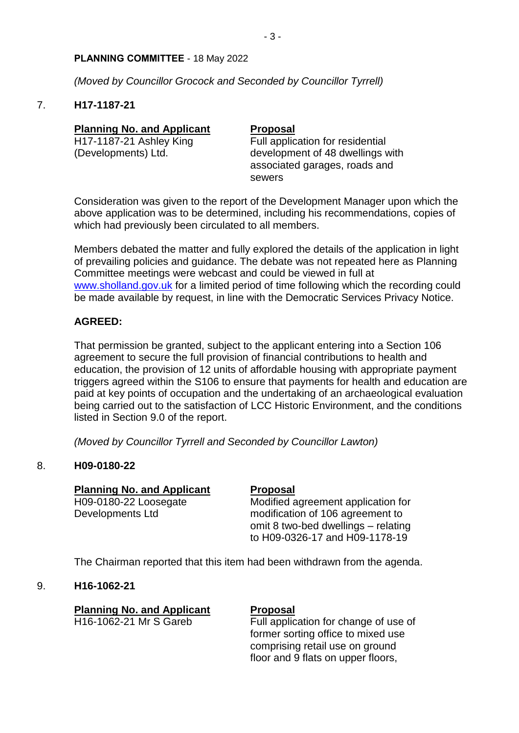*(Moved by Councillor Grocock and Seconded by Councillor Tyrrell)*

## 7. **H17-1187-21**

| <b>Planning No. and Applicant</b> | <b>Proposal</b>                                                             |
|-----------------------------------|-----------------------------------------------------------------------------|
| H17-1187-21 Ashley King           | Full application for residential                                            |
| (Developments) Ltd.               | development of 48 dwellings with<br>associated garages, roads and<br>sewers |

Consideration was given to the report of the Development Manager upon which the above application was to be determined, including his recommendations, copies of which had previously been circulated to all members.

Members debated the matter and fully explored the details of the application in light of prevailing policies and guidance. The debate was not repeated here as Planning Committee meetings were webcast and could be viewed in full at [www.sholland.gov.uk](http://www.sholland.gov.uk/) for a limited period of time following which the recording could be made available by request, in line with the Democratic Services Privacy Notice.

# **AGREED:**

That permission be granted, subject to the applicant entering into a Section 106 agreement to secure the full provision of financial contributions to health and education, the provision of 12 units of affordable housing with appropriate payment triggers agreed within the S106 to ensure that payments for health and education are paid at key points of occupation and the undertaking of an archaeological evaluation being carried out to the satisfaction of LCC Historic Environment, and the conditions listed in Section 9.0 of the report.

*(Moved by Councillor Tyrrell and Seconded by Councillor Lawton)*

# 8. **H09-0180-22**

| <b>Planning No. and Applicant</b> | <b>Proposal</b>                     |
|-----------------------------------|-------------------------------------|
| H09-0180-22 Loosegate             | Modified agreement application for  |
| Developments Ltd                  | modification of 106 agreement to    |
|                                   | omit 8 two-bed dwellings – relating |
|                                   | to H09-0326-17 and H09-1178-19      |

The Chairman reported that this item had been withdrawn from the agenda.

# 9. **H16-1062-21**

|                        |  | <b>Planning No. and Applicant</b> |
|------------------------|--|-----------------------------------|
| H16-1062-21 Mr S Gareb |  |                                   |

## **Proposal**

Full application for change of use of former sorting office to mixed use comprising retail use on ground floor and 9 flats on upper floors,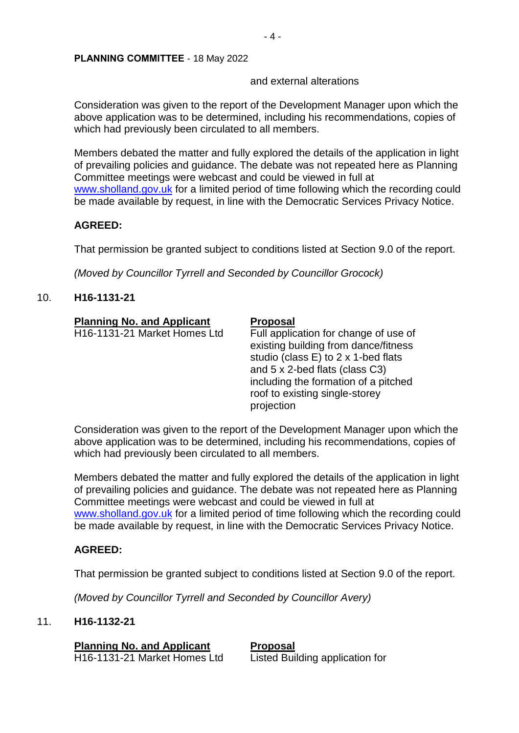## and external alterations

Consideration was given to the report of the Development Manager upon which the above application was to be determined, including his recommendations, copies of which had previously been circulated to all members.

Members debated the matter and fully explored the details of the application in light of prevailing policies and guidance. The debate was not repeated here as Planning Committee meetings were webcast and could be viewed in full at [www.sholland.gov.uk](http://www.sholland.gov.uk/) for a limited period of time following which the recording could be made available by request, in line with the Democratic Services Privacy Notice.

## **AGREED:**

That permission be granted subject to conditions listed at Section 9.0 of the report.

*(Moved by Councillor Tyrrell and Seconded by Councillor Grocock)*

# 10. **H16-1131-21**

| <b>Planning No. and Applicant</b> | <b>Proposal</b>                                                                                                                                                                                                                                |
|-----------------------------------|------------------------------------------------------------------------------------------------------------------------------------------------------------------------------------------------------------------------------------------------|
| H16-1131-21 Market Homes Ltd      | Full application for change of use of<br>existing building from dance/fitness<br>studio (class E) to 2 x 1-bed flats<br>and 5 x 2-bed flats (class C3)<br>including the formation of a pitched<br>roof to existing single-storey<br>projection |

Consideration was given to the report of the Development Manager upon which the above application was to be determined, including his recommendations, copies of which had previously been circulated to all members.

Members debated the matter and fully explored the details of the application in light of prevailing policies and guidance. The debate was not repeated here as Planning Committee meetings were webcast and could be viewed in full at [www.sholland.gov.uk](http://www.sholland.gov.uk/) for a limited period of time following which the recording could be made available by request, in line with the Democratic Services Privacy Notice.

# **AGREED:**

That permission be granted subject to conditions listed at Section 9.0 of the report.

*(Moved by Councillor Tyrrell and Seconded by Councillor Avery)*

## 11. **H16-1132-21**

**Planning No. and Applicant Proposal** 

H16-1131-21 Market Homes Ltd Listed Building application for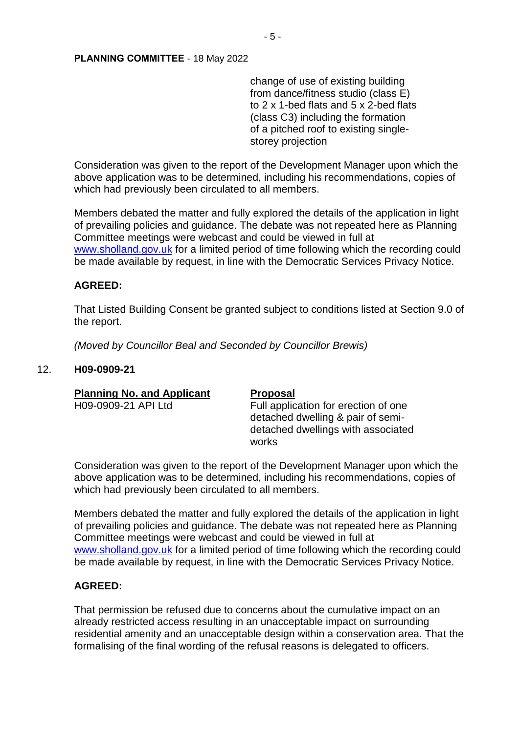change of use of existing building from dance/fitness studio (class E) to 2 x 1-bed flats and 5 x 2-bed flats (class C3) including the formation of a pitched roof to existing singlestorey projection

Consideration was given to the report of the Development Manager upon which the above application was to be determined, including his recommendations, copies of which had previously been circulated to all members.

Members debated the matter and fully explored the details of the application in light of prevailing policies and guidance. The debate was not repeated here as Planning Committee meetings were webcast and could be viewed in full at [www.sholland.gov.uk](http://www.sholland.gov.uk/) for a limited period of time following which the recording could be made available by request, in line with the Democratic Services Privacy Notice.

## **AGREED:**

That Listed Building Consent be granted subject to conditions listed at Section 9.0 of the report.

*(Moved by Councillor Beal and Seconded by Councillor Brewis)*

## 12. **H09-0909-21**

| <b>Planning No. and Applicant</b> | <b>Proposal</b>                                                                                                          |
|-----------------------------------|--------------------------------------------------------------------------------------------------------------------------|
| H09-0909-21 API Ltd               | Full application for erection of one<br>detached dwelling & pair of semi-<br>detached dwellings with associated<br>works |

Consideration was given to the report of the Development Manager upon which the above application was to be determined, including his recommendations, copies of which had previously been circulated to all members.

Members debated the matter and fully explored the details of the application in light of prevailing policies and guidance. The debate was not repeated here as Planning Committee meetings were webcast and could be viewed in full at [www.sholland.gov.uk](http://www.sholland.gov.uk/) for a limited period of time following which the recording could be made available by request, in line with the Democratic Services Privacy Notice.

# **AGREED:**

That permission be refused due to concerns about the cumulative impact on an already restricted access resulting in an unacceptable impact on surrounding residential amenity and an unacceptable design within a conservation area. That the formalising of the final wording of the refusal reasons is delegated to officers.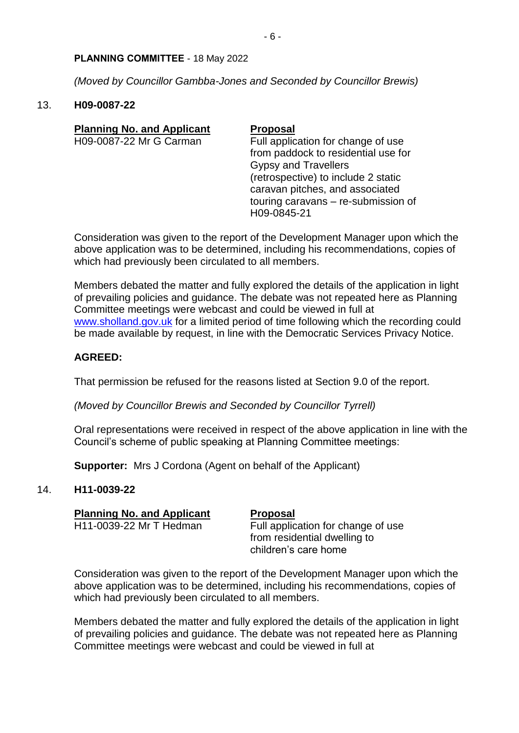*(Moved by Councillor Gambba-Jones and Seconded by Councillor Brewis)*

## 13. **H09-0087-22**

| <b>Planning No. and Applicant</b> | <b>Proposal</b>                     |
|-----------------------------------|-------------------------------------|
| H09-0087-22 Mr G Carman           | Full application for change of use  |
|                                   | from paddock to residential use for |
|                                   | <b>Gypsy and Travellers</b>         |
|                                   | (retrospective) to include 2 static |
|                                   | caravan pitches, and associated     |
|                                   | touring caravans - re-submission of |
|                                   | H09-0845-21                         |
|                                   |                                     |

Consideration was given to the report of the Development Manager upon which the above application was to be determined, including his recommendations, copies of which had previously been circulated to all members.

Members debated the matter and fully explored the details of the application in light of prevailing policies and guidance. The debate was not repeated here as Planning Committee meetings were webcast and could be viewed in full at [www.sholland.gov.uk](http://www.sholland.gov.uk/) for a limited period of time following which the recording could be made available by request, in line with the Democratic Services Privacy Notice.

# **AGREED:**

That permission be refused for the reasons listed at Section 9.0 of the report.

*(Moved by Councillor Brewis and Seconded by Councillor Tyrrell)*

Oral representations were received in respect of the above application in line with the Council's scheme of public speaking at Planning Committee meetings:

**Supporter:** Mrs J Cordona (Agent on behalf of the Applicant)

# 14. **H11-0039-22**

| <b>Planning No. and Applicant</b> | <b>Proposal</b>                    |
|-----------------------------------|------------------------------------|
| H11-0039-22 Mr T Hedman           | Full application for change of use |
|                                   | from residential dwelling to       |
|                                   | children's care home               |

Consideration was given to the report of the Development Manager upon which the above application was to be determined, including his recommendations, copies of which had previously been circulated to all members.

Members debated the matter and fully explored the details of the application in light of prevailing policies and guidance. The debate was not repeated here as Planning Committee meetings were webcast and could be viewed in full at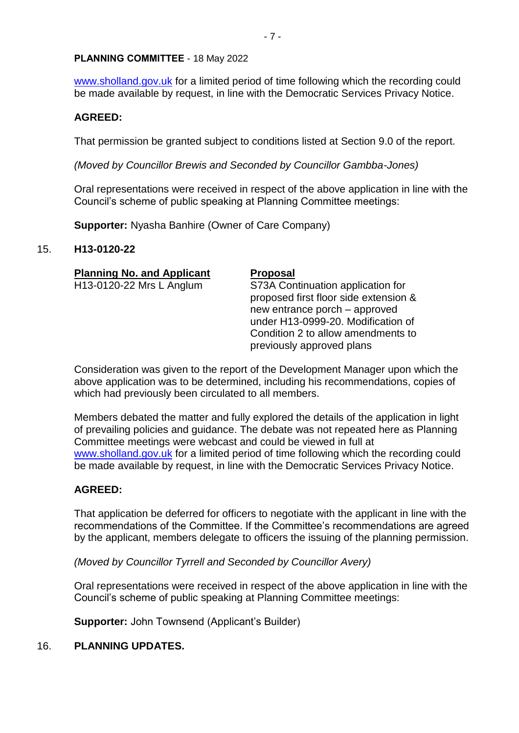[www.sholland.gov.uk](http://www.sholland.gov.uk/) for a limited period of time following which the recording could be made available by request, in line with the Democratic Services Privacy Notice.

## **AGREED:**

That permission be granted subject to conditions listed at Section 9.0 of the report.

*(Moved by Councillor Brewis and Seconded by Councillor Gambba-Jones)*

Oral representations were received in respect of the above application in line with the Council's scheme of public speaking at Planning Committee meetings:

**Supporter:** Nyasha Banhire (Owner of Care Company)

## 15. **H13-0120-22**

| <b>Planning No. and Applicant</b> | <b>Proposal</b>                                                                                             |
|-----------------------------------|-------------------------------------------------------------------------------------------------------------|
| H13-0120-22 Mrs L Anglum          | S73A Continuation application for<br>proposed first floor side extension &<br>new entrance porch – approved |
|                                   | under H13-0999-20. Modification of<br>Condition 2 to allow amendments to                                    |

Consideration was given to the report of the Development Manager upon which the above application was to be determined, including his recommendations, copies of which had previously been circulated to all members.

previously approved plans

Members debated the matter and fully explored the details of the application in light of prevailing policies and guidance. The debate was not repeated here as Planning Committee meetings were webcast and could be viewed in full at [www.sholland.gov.uk](http://www.sholland.gov.uk/) for a limited period of time following which the recording could be made available by request, in line with the Democratic Services Privacy Notice.

## **AGREED:**

That application be deferred for officers to negotiate with the applicant in line with the recommendations of the Committee. If the Committee's recommendations are agreed by the applicant, members delegate to officers the issuing of the planning permission.

*(Moved by Councillor Tyrrell and Seconded by Councillor Avery)*

Oral representations were received in respect of the above application in line with the Council's scheme of public speaking at Planning Committee meetings:

**Supporter:** John Townsend (Applicant's Builder)

# 16. **PLANNING UPDATES.**